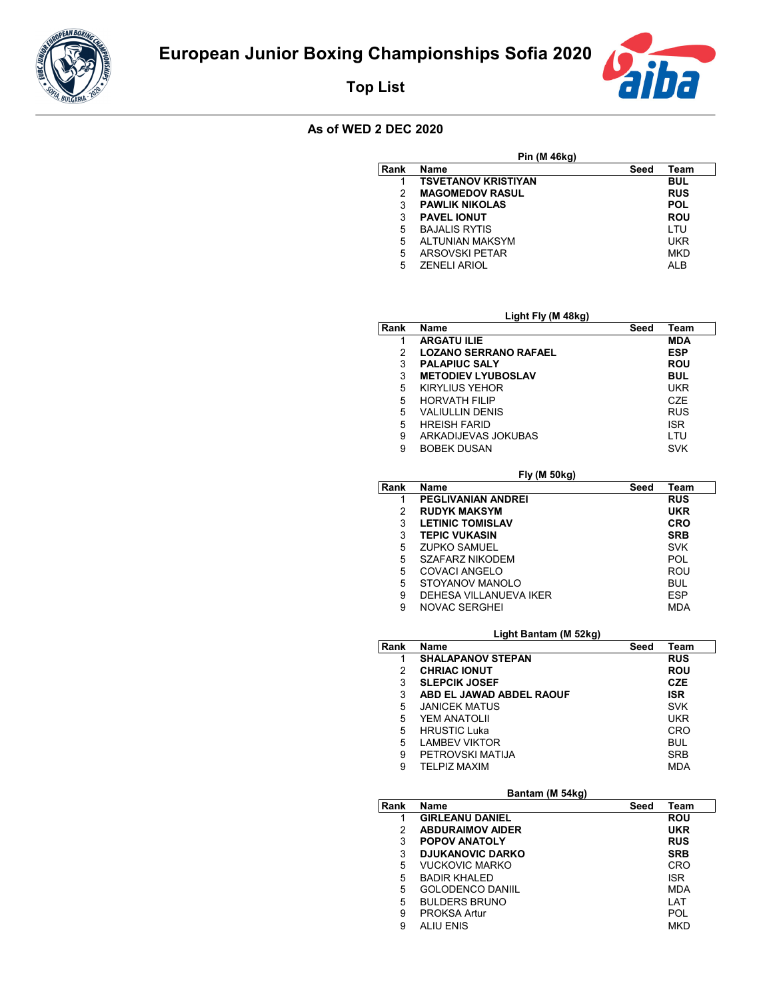

**Top List**



## **As of WED 2 DEC 2020**

| Pin (M 46kg) |                            |      |            |  |
|--------------|----------------------------|------|------------|--|
| Rank         | Name                       | Seed | Team       |  |
|              | <b>TSVETANOV KRISTIYAN</b> |      | <b>BUL</b> |  |
| 2            | <b>MAGOMEDOV RASUL</b>     |      | <b>RUS</b> |  |
| 3            | <b>PAWLIK NIKOLAS</b>      |      | <b>POL</b> |  |
| 3            | <b>PAVEL IONUT</b>         |      | <b>ROU</b> |  |
| 5            | <b>BAJALIS RYTIS</b>       |      | LTU        |  |
| 5            | <b>ALTUNIAN MAKSYM</b>     |      | UKR        |  |
| 5            | <b>ARSOVSKI PETAR</b>      |      | <b>MKD</b> |  |
| 5            | <b>ZENELI ARIOL</b>        |      | AI B       |  |

| Light Fly (M 48kg) |                              |      |            |
|--------------------|------------------------------|------|------------|
| Rank               | <b>Name</b>                  | Seed | Team       |
| 1                  | <b>ARGATU ILIE</b>           |      | MDA        |
| 2                  | <b>LOZANO SERRANO RAFAEL</b> |      | <b>ESP</b> |
| 3                  | <b>PALAPIUC SALY</b>         |      | <b>ROU</b> |
| 3                  | <b>METODIEV LYUBOSLAV</b>    |      | <b>BUL</b> |
| 5                  | <b>KIRYLIUS YEHOR</b>        |      | UKR        |
| 5                  | <b>HORVATH FILIP</b>         |      | <b>CZE</b> |
| 5                  | <b>VALIULLIN DENIS</b>       |      | <b>RUS</b> |
| 5                  | <b>HREISH FARID</b>          |      | <b>ISR</b> |
| 9                  | ARKADIJEVAS JOKUBAS          |      | LTU        |
| 9                  | <b>BOBEK DUSAN</b>           |      | <b>SVK</b> |

|      | <b>Fly (M 50kg)</b>       |      |            |  |  |
|------|---------------------------|------|------------|--|--|
| Rank | Name                      | Seed | Team       |  |  |
| 1    | <b>PEGLIVANIAN ANDREI</b> |      | <b>RUS</b> |  |  |
| 2    | <b>RUDYK MAKSYM</b>       |      | <b>UKR</b> |  |  |
| 3    | <b>LETINIC TOMISLAV</b>   |      | <b>CRO</b> |  |  |
| 3    | <b>TEPIC VUKASIN</b>      |      | <b>SRB</b> |  |  |
| 5    | <b>ZUPKO SAMUEL</b>       |      | <b>SVK</b> |  |  |
| 5    | <b>SZAFARZ NIKODEM</b>    |      | <b>POL</b> |  |  |
| 5    | COVACI ANGELO             |      | <b>ROU</b> |  |  |
| 5    | STOYANOV MANOLO           |      | <b>BUL</b> |  |  |
| 9    | DEHESA VILLANUEVA IKER    |      | <b>ESP</b> |  |  |
| 9    | <b>NOVAC SERGHEI</b>      |      | <b>MDA</b> |  |  |

## **Light Bantam (M 52kg)**

|      | - 9 - - -<br>.,          |      |            |
|------|--------------------------|------|------------|
| Rank | Name                     | Seed | Team       |
| 1    | <b>SHALAPANOV STEPAN</b> |      | <b>RUS</b> |
| 2    | <b>CHRIAC IONUT</b>      |      | <b>ROU</b> |
| 3    | <b>SLEPCIK JOSEF</b>     |      | <b>CZE</b> |
| 3    | ABD EL JAWAD ABDEL RAOUF |      | <b>ISR</b> |
| 5    | <b>JANICEK MATUS</b>     |      | <b>SVK</b> |
| 5    | YEM ANATOLII             |      | UKR        |
| 5    | <b>HRUSTIC Luka</b>      |      | CRO        |
| 5    | <b>LAMBEV VIKTOR</b>     |      | <b>BUL</b> |
| 9    | PETROVSKI MATIJA         |      | <b>SRB</b> |
| 9    | <b>TELPIZ MAXIM</b>      |      | <b>MDA</b> |

| Bantam (M 54kg)         |      |            |  |  |
|-------------------------|------|------------|--|--|
| Name                    | Seed | Team       |  |  |
| <b>GIRLEANU DANIEL</b>  |      | <b>ROU</b> |  |  |
| <b>ABDURAIMOV AIDER</b> |      | <b>UKR</b> |  |  |
| <b>POPOV ANATOLY</b>    |      | <b>RUS</b> |  |  |
| <b>DJUKANOVIC DARKO</b> |      | <b>SRB</b> |  |  |
| <b>VUCKOVIC MARKO</b>   |      | <b>CRO</b> |  |  |
| <b>BADIR KHALED</b>     |      | <b>ISR</b> |  |  |
| <b>GOLODENCO DANIIL</b> |      | <b>MDA</b> |  |  |
| <b>BULDERS BRUNO</b>    |      | LAT        |  |  |
| <b>PROKSA Artur</b>     |      | POL        |  |  |
| <b>ALIU ENIS</b>        |      | <b>MKD</b> |  |  |
|                         |      |            |  |  |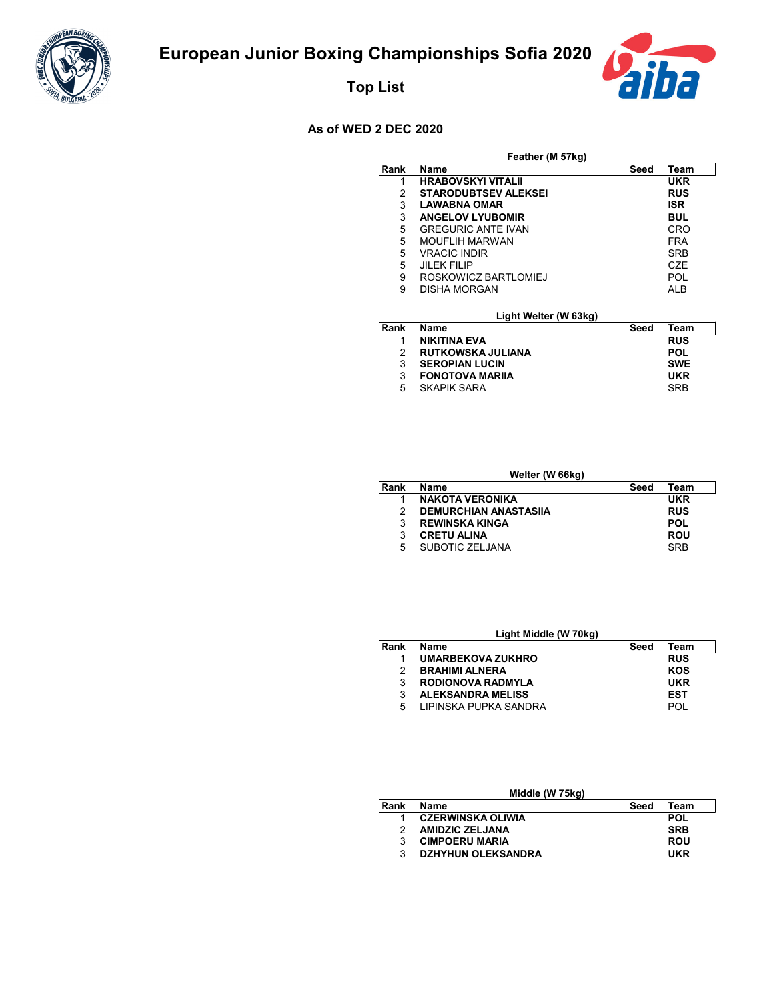

**Top List**



## **As of WED 2 DEC 2020**

| Feather (M 57kg) |                             |      |                  |  |
|------------------|-----------------------------|------|------------------|--|
| Rank             | Name                        | Seed | Team             |  |
| 1                | <b>HRABOVSKYI VITALII</b>   |      | UKR              |  |
| 2                | <b>STARODUBTSEV ALEKSEI</b> |      | <b>RUS</b>       |  |
| 3                | <b>LAWABNA OMAR</b>         |      | <b>ISR</b>       |  |
| 3                | <b>ANGELOV LYUBOMIR</b>     |      | <b>BUL</b>       |  |
| 5                | <b>GREGURIC ANTE IVAN</b>   |      | CRO              |  |
| 5                | MOUFLIH MARWAN              |      | <b>FRA</b>       |  |
| 5                | <b>VRACIC INDIR</b>         |      | <b>SRB</b>       |  |
| 5                | JII FK FII IP               |      | C <sub>7</sub> F |  |
| 9                | ROSKOWICZ BARTLOMIEJ        |      | POL              |  |
| 9                | <b>DISHA MORGAN</b>         |      | AI B             |  |
|                  | Light Welter (W 63kg)       |      |                  |  |
| Rank             | <b>Name</b>                 | Seed | Team             |  |
| 1                | <b>NIKITINA EVA</b>         |      | <b>RUS</b>       |  |
| 2                | <b>RUTKOWSKA JULIANA</b>    |      | <b>POL</b>       |  |
| 3                | <b>SEROPIAN LUCIN</b>       |      | <b>SWE</b>       |  |
| 3                | <b>FONOTOVA MARIIA</b>      |      | UKR              |  |
| 5                | SKAPIK SARA                 |      | <b>SRB</b>       |  |

| Welter (W 66kg) |                              |      |            |  |
|-----------------|------------------------------|------|------------|--|
| Rank            | <b>Name</b>                  | Seed | Team       |  |
|                 | <b>NAKOTA VERONIKA</b>       |      | <b>UKR</b> |  |
| 2               | <b>DEMURCHIAN ANASTASIIA</b> |      | <b>RUS</b> |  |
| 3               | <b>REWINSKA KINGA</b>        |      | <b>POL</b> |  |
| 3               | <b>CRETU ALINA</b>           |      | <b>ROU</b> |  |
| 5               | SUBOTIC ZELJANA              |      | <b>SRB</b> |  |

| Light Middle (W 70kg) |                          |      |            |  |
|-----------------------|--------------------------|------|------------|--|
| Rank                  | <b>Name</b>              | Seed | Team       |  |
|                       | <b>UMARBEKOVA ZUKHRO</b> |      | <b>RUS</b> |  |
| 2                     | <b>BRAHIMI ALNERA</b>    |      | KOS        |  |
| 3                     | <b>RODIONOVA RADMYLA</b> |      | <b>UKR</b> |  |
| 3                     | <b>ALEKSANDRA MELISS</b> |      | <b>EST</b> |  |
| 5                     | LIPINSKA PUPKA SANDRA    |      | P∩I        |  |

| Middle (W 75kg) |                           |      |            |  |
|-----------------|---------------------------|------|------------|--|
| Rank            | <b>Name</b>               | Seed | Team       |  |
|                 | <b>CZERWINSKA OLIWIA</b>  |      | <b>POL</b> |  |
| 2               | <b>AMIDZIC ZELJANA</b>    |      | <b>SRB</b> |  |
| 3               | <b>CIMPOERU MARIA</b>     |      | <b>ROU</b> |  |
| 3               | <b>DZHYHUN OLEKSANDRA</b> |      | <b>UKR</b> |  |